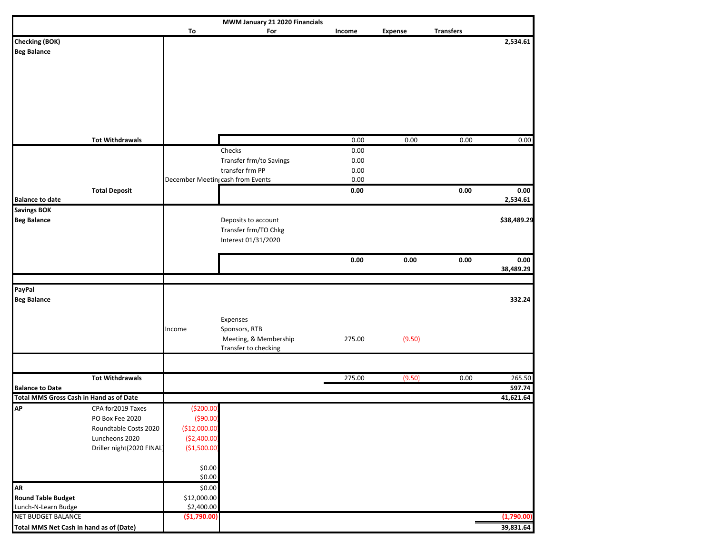| MWM January 21 2020 Financials                                           |                           |                                               |                         |          |                |                  |             |  |  |
|--------------------------------------------------------------------------|---------------------------|-----------------------------------------------|-------------------------|----------|----------------|------------------|-------------|--|--|
|                                                                          |                           | To                                            | For                     | Income   | <b>Expense</b> | <b>Transfers</b> |             |  |  |
| <b>Checking (BOK)</b>                                                    |                           |                                               |                         |          |                |                  | 2,534.61    |  |  |
| <b>Beg Balance</b>                                                       |                           |                                               |                         |          |                |                  |             |  |  |
|                                                                          |                           |                                               |                         |          |                |                  |             |  |  |
|                                                                          |                           |                                               |                         |          |                |                  |             |  |  |
|                                                                          |                           |                                               |                         |          |                |                  |             |  |  |
|                                                                          |                           |                                               |                         |          |                |                  |             |  |  |
|                                                                          |                           |                                               |                         |          |                |                  |             |  |  |
|                                                                          |                           |                                               |                         |          |                |                  |             |  |  |
|                                                                          |                           |                                               |                         |          |                |                  |             |  |  |
|                                                                          | <b>Tot Withdrawals</b>    |                                               |                         | 0.00     | 0.00           | 0.00             | 0.00        |  |  |
|                                                                          |                           |                                               | Checks                  | $0.00\,$ |                |                  |             |  |  |
|                                                                          |                           |                                               | Transfer frm/to Savings | 0.00     |                |                  |             |  |  |
|                                                                          |                           |                                               | transfer frm PP         | 0.00     |                |                  |             |  |  |
|                                                                          |                           | December Meetin <sub>l</sub> cash from Events |                         | 0.00     |                |                  |             |  |  |
|                                                                          | <b>Total Deposit</b>      |                                               |                         | 0.00     |                | 0.00             | 0.00        |  |  |
| <b>Balance to date</b>                                                   |                           |                                               |                         |          |                |                  | 2,534.61    |  |  |
| Savings BOK                                                              |                           |                                               |                         |          |                |                  |             |  |  |
| <b>Beg Balance</b>                                                       |                           |                                               | Deposits to account     |          |                |                  | \$38,489.29 |  |  |
|                                                                          |                           |                                               | Transfer frm/TO Chkg    |          |                |                  |             |  |  |
|                                                                          |                           |                                               | Interest 01/31/2020     |          |                |                  |             |  |  |
|                                                                          |                           |                                               |                         | 0.00     | 0.00           | 0.00             | 0.00        |  |  |
|                                                                          |                           |                                               |                         |          |                |                  | 38,489.29   |  |  |
|                                                                          |                           |                                               |                         |          |                |                  |             |  |  |
| PayPal                                                                   |                           |                                               |                         |          |                |                  |             |  |  |
| <b>Beg Balance</b>                                                       |                           |                                               |                         |          |                |                  | 332.24      |  |  |
|                                                                          |                           |                                               |                         |          |                |                  |             |  |  |
|                                                                          |                           |                                               | Expenses                |          |                |                  |             |  |  |
|                                                                          |                           | Income                                        | Sponsors, RTB           |          |                |                  |             |  |  |
|                                                                          |                           |                                               | Meeting, & Membership   | 275.00   | (9.50)         |                  |             |  |  |
|                                                                          |                           |                                               | Transfer to checking    |          |                |                  |             |  |  |
|                                                                          |                           |                                               |                         |          |                |                  |             |  |  |
|                                                                          |                           |                                               |                         |          |                |                  |             |  |  |
|                                                                          | <b>Tot Withdrawals</b>    |                                               |                         | 275.00   | (9.50)         | 0.00             | 265.50      |  |  |
| <b>Balance to Date</b><br><b>Total MMS Gross Cash in Hand as of Date</b> |                           |                                               |                         |          |                |                  | 597.74      |  |  |
| <b>AP</b>                                                                |                           |                                               |                         |          |                |                  | 41,621.64   |  |  |
|                                                                          | CPA for 2019 Taxes        | ( \$200.00]                                   |                         |          |                |                  |             |  |  |
|                                                                          | PO Box Fee 2020           | $($ \$90.00)                                  |                         |          |                |                  |             |  |  |
|                                                                          | Roundtable Costs 2020     | (\$12,000.00]                                 |                         |          |                |                  |             |  |  |
|                                                                          | Luncheons 2020            | (\$2,400.00]                                  |                         |          |                |                  |             |  |  |
|                                                                          | Driller night(2020 FINAL) | (\$1,500.00]                                  |                         |          |                |                  |             |  |  |
|                                                                          |                           |                                               |                         |          |                |                  |             |  |  |
|                                                                          |                           | \$0.00<br>\$0.00                              |                         |          |                |                  |             |  |  |
| <b>AR</b>                                                                |                           | \$0.00                                        |                         |          |                |                  |             |  |  |
| <b>Round Table Budget</b>                                                |                           | \$12,000.00                                   |                         |          |                |                  |             |  |  |
| Lunch-N-Learn Budge                                                      |                           | \$2,400.00                                    |                         |          |                |                  |             |  |  |
| <b>NET BUDGET BALANCE</b>                                                |                           | (\$1,790.00)                                  |                         |          |                |                  | (1,790.00)  |  |  |
| Total MMS Net Cash in hand as of (Date)                                  |                           |                                               |                         |          |                |                  | 39,831.64   |  |  |
|                                                                          |                           |                                               |                         |          |                |                  |             |  |  |